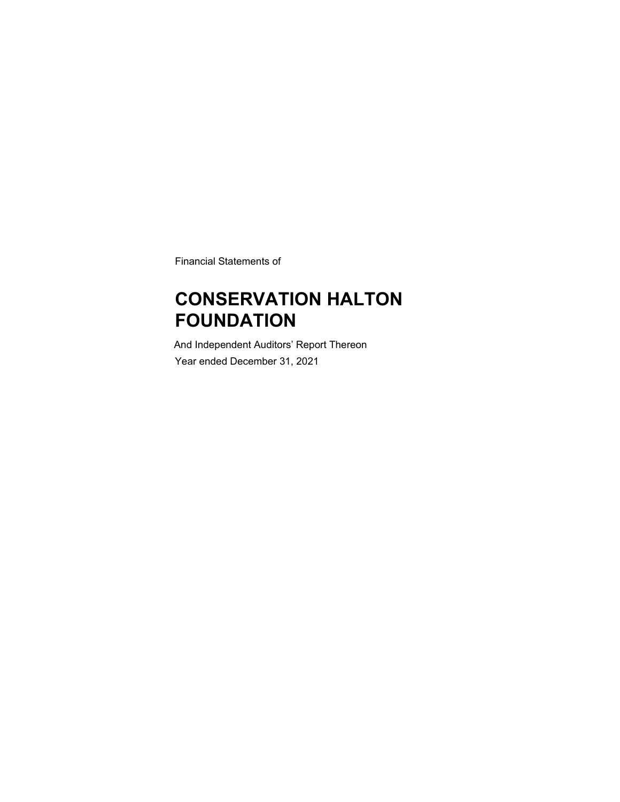Financial Statements of

### **CONSERVATION HALTON FOUNDATION**

And Independent Auditors' Report Thereon Year ended December 31, 2021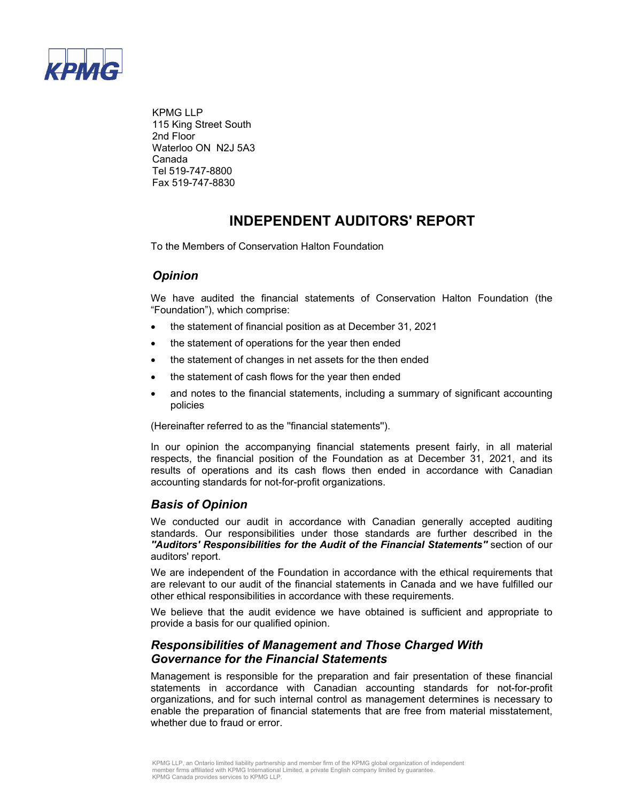

KPMG LLP 115 King Street South 2nd Floor Waterloo ON N2J 5A3 Canada Tel 519-747-8800 Fax 519-747-8830

### **INDEPENDENT AUDITORS' REPORT**

To the Members of Conservation Halton Foundation

### *Opinion*

We have audited the financial statements of Conservation Halton Foundation (the "Foundation"), which comprise:

- the statement of financial position as at December 31, 2021
- the statement of operations for the year then ended
- the statement of changes in net assets for the then ended
- the statement of cash flows for the year then ended
- and notes to the financial statements, including a summary of significant accounting policies

(Hereinafter referred to as the ''financial statements'').

In our opinion the accompanying financial statements present fairly, in all material respects, the financial position of the Foundation as at December 31, 2021, and its results of operations and its cash flows then ended in accordance with Canadian accounting standards for not-for-profit organizations.

### *Basis of Opinion*

We conducted our audit in accordance with Canadian generally accepted auditing standards. Our responsibilities under those standards are further described in the *''Auditors' Responsibilities for the Audit of the Financial Statements''* section of our auditors' report.

We are independent of the Foundation in accordance with the ethical requirements that are relevant to our audit of the financial statements in Canada and we have fulfilled our other ethical responsibilities in accordance with these requirements.

We believe that the audit evidence we have obtained is sufficient and appropriate to provide a basis for our qualified opinion.

### *Responsibilities of Management and Those Charged With Governance for the Financial Statements*

Management is responsible for the preparation and fair presentation of these financial statements in accordance with Canadian accounting standards for not-for-profit organizations, and for such internal control as management determines is necessary to enable the preparation of financial statements that are free from material misstatement, whether due to fraud or error.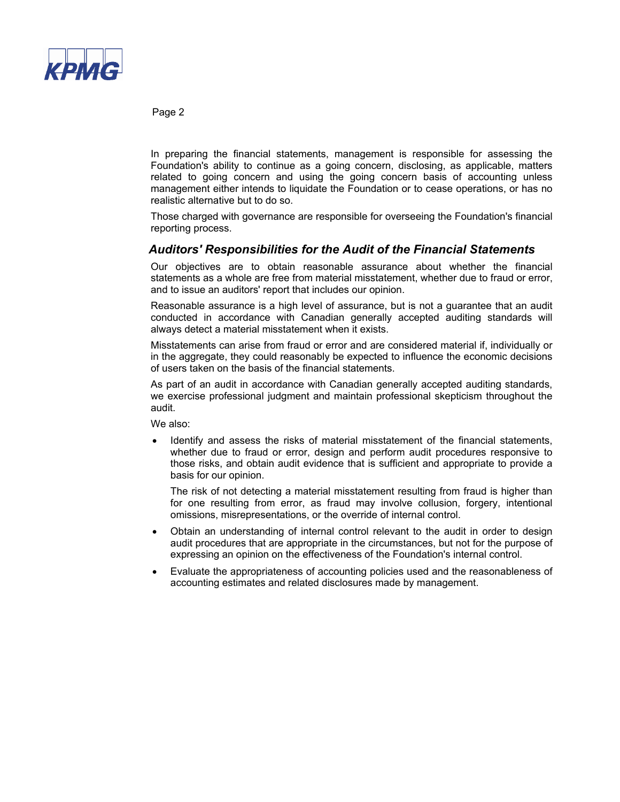

Page 2

In preparing the financial statements, management is responsible for assessing the Foundation's ability to continue as a going concern, disclosing, as applicable, matters related to going concern and using the going concern basis of accounting unless management either intends to liquidate the Foundation or to cease operations, or has no realistic alternative but to do so.

Those charged with governance are responsible for overseeing the Foundation's financial reporting process.

### *Auditors' Responsibilities for the Audit of the Financial Statements*

Our objectives are to obtain reasonable assurance about whether the financial statements as a whole are free from material misstatement, whether due to fraud or error, and to issue an auditors' report that includes our opinion.

Reasonable assurance is a high level of assurance, but is not a guarantee that an audit conducted in accordance with Canadian generally accepted auditing standards will always detect a material misstatement when it exists.

Misstatements can arise from fraud or error and are considered material if, individually or in the aggregate, they could reasonably be expected to influence the economic decisions of users taken on the basis of the financial statements.

As part of an audit in accordance with Canadian generally accepted auditing standards, we exercise professional judgment and maintain professional skepticism throughout the audit.

We also:

 Identify and assess the risks of material misstatement of the financial statements, whether due to fraud or error, design and perform audit procedures responsive to those risks, and obtain audit evidence that is sufficient and appropriate to provide a basis for our opinion.

The risk of not detecting a material misstatement resulting from fraud is higher than for one resulting from error, as fraud may involve collusion, forgery, intentional omissions, misrepresentations, or the override of internal control.

- Obtain an understanding of internal control relevant to the audit in order to design audit procedures that are appropriate in the circumstances, but not for the purpose of expressing an opinion on the effectiveness of the Foundation's internal control.
- Evaluate the appropriateness of accounting policies used and the reasonableness of accounting estimates and related disclosures made by management.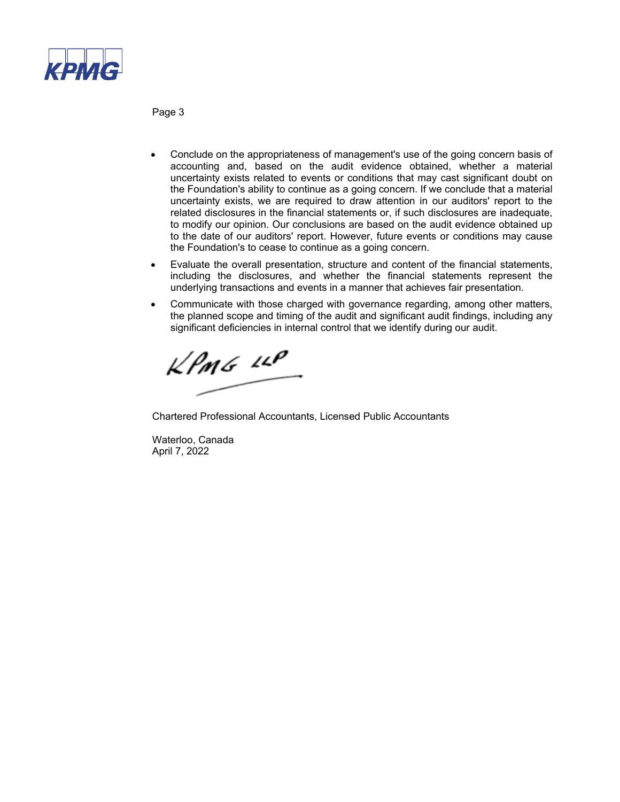

Page 3

- Conclude on the appropriateness of management's use of the going concern basis of accounting and, based on the audit evidence obtained, whether a material uncertainty exists related to events or conditions that may cast significant doubt on the Foundation's ability to continue as a going concern. If we conclude that a material uncertainty exists, we are required to draw attention in our auditors' report to the related disclosures in the financial statements or, if such disclosures are inadequate, to modify our opinion. Our conclusions are based on the audit evidence obtained up to the date of our auditors' report. However, future events or conditions may cause the Foundation's to cease to continue as a going concern.
- Evaluate the overall presentation, structure and content of the financial statements, including the disclosures, and whether the financial statements represent the underlying transactions and events in a manner that achieves fair presentation.
- Communicate with those charged with governance regarding, among other matters, the planned scope and timing of the audit and significant audit findings, including any significant deficiencies in internal control that we identify during our audit.

 $\mathcal{L}$ PMG  $\mathcal{L}$ 

Chartered Professional Accountants, Licensed Public Accountants

Waterloo, Canada April 7, 2022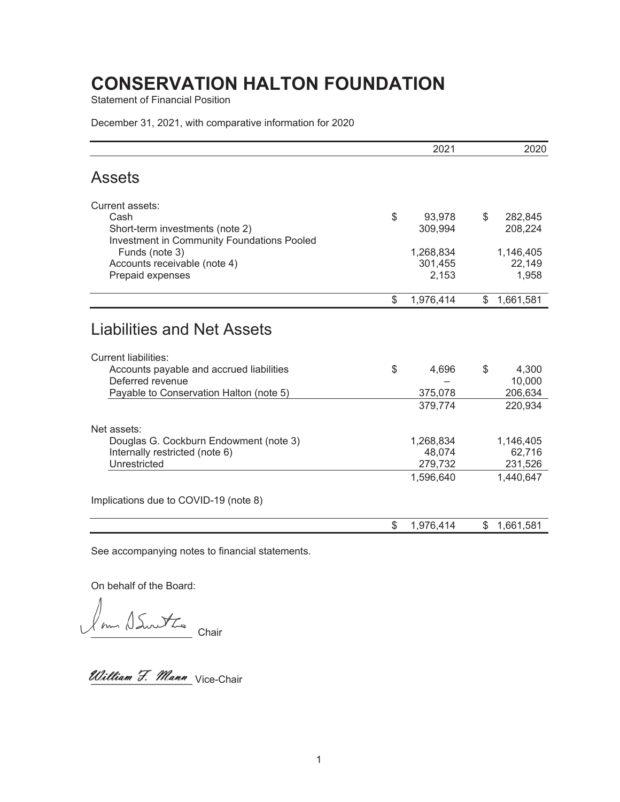Statement of Financial Position

December 31, 2021, with comparative information for 2020

|                                                                                                                                                                             | 2021                           | 2020                             |
|-----------------------------------------------------------------------------------------------------------------------------------------------------------------------------|--------------------------------|----------------------------------|
| <b>Assets</b>                                                                                                                                                               |                                |                                  |
| Current assets:<br>Cash                                                                                                                                                     | \$<br>93,978                   | \$<br>282,845                    |
| Short-term investments (note 2)<br>Investment in Community Foundations Pooled                                                                                               | 309,994                        | 208,224                          |
| Funds (note 3)                                                                                                                                                              | 1,268,834                      | 1,146,405                        |
| Accounts receivable (note 4)<br>Prepaid expenses                                                                                                                            | 301,455<br>2,153               | 22,149<br>1,958                  |
|                                                                                                                                                                             |                                |                                  |
|                                                                                                                                                                             | \$<br>1,976,414                | \$<br>1,661,581                  |
| <b>Liabilities and Net Assets</b><br><b>Current liabilities:</b><br>Accounts payable and accrued liabilities<br>Deferred revenue<br>Payable to Conservation Halton (note 5) | \$<br>4,696<br>375,078         | \$<br>4,300<br>10,000<br>206,634 |
|                                                                                                                                                                             | 379,774                        | 220,934                          |
| Net assets:<br>Douglas G. Cockburn Endowment (note 3)<br>Internally restricted (note 6)<br>Unrestricted                                                                     | 1,268,834<br>48,074<br>279,732 | 1,146,405<br>62,716<br>231,526   |
|                                                                                                                                                                             | 1,596,640                      | 1,440,647                        |
| Implications due to COVID-19 (note 8)                                                                                                                                       |                                |                                  |
|                                                                                                                                                                             | \$<br>1,976,414                | \$<br>1,661,581                  |

See accompanying notes to financial statements.

On behalf of the Board:

low Suntre Chair

Uliliam F. Mann <sub>Vice-Chair</sub>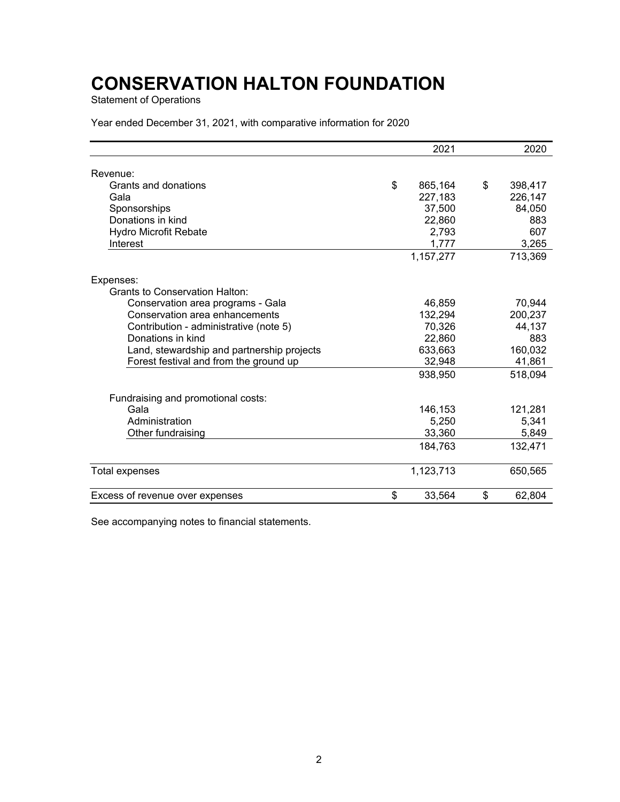Statement of Operations

Year ended December 31, 2021, with comparative information for 2020

|                                            |    | 2020      |               |
|--------------------------------------------|----|-----------|---------------|
| Revenue:                                   |    |           |               |
| Grants and donations                       | \$ | 865,164   | \$<br>398,417 |
| Gala                                       |    | 227,183   | 226,147       |
| Sponsorships                               |    | 37,500    | 84,050        |
| Donations in kind                          |    | 22,860    | 883           |
| <b>Hydro Microfit Rebate</b>               |    | 2,793     | 607           |
| Interest                                   |    | 1,777     | 3,265         |
|                                            |    | 1,157,277 | 713,369       |
| Expenses:                                  |    |           |               |
| <b>Grants to Conservation Halton:</b>      |    |           |               |
| Conservation area programs - Gala          |    | 46,859    | 70,944        |
| Conservation area enhancements             |    | 132,294   | 200,237       |
| Contribution - administrative (note 5)     |    | 70,326    | 44,137        |
| Donations in kind                          |    | 22,860    | 883           |
| Land, stewardship and partnership projects |    | 633,663   | 160,032       |
| Forest festival and from the ground up     |    | 32,948    | 41,861        |
|                                            |    | 938,950   | 518,094       |
| Fundraising and promotional costs:         |    |           |               |
| Gala                                       |    | 146,153   | 121,281       |
| Administration                             |    | 5.250     | 5,341         |
| Other fundraising                          |    | 33,360    | 5,849         |
|                                            |    | 184,763   | 132,471       |
| Total expenses                             |    | 1,123,713 | 650,565       |
| Excess of revenue over expenses            | \$ | 33,564    | \$<br>62,804  |

See accompanying notes to financial statements.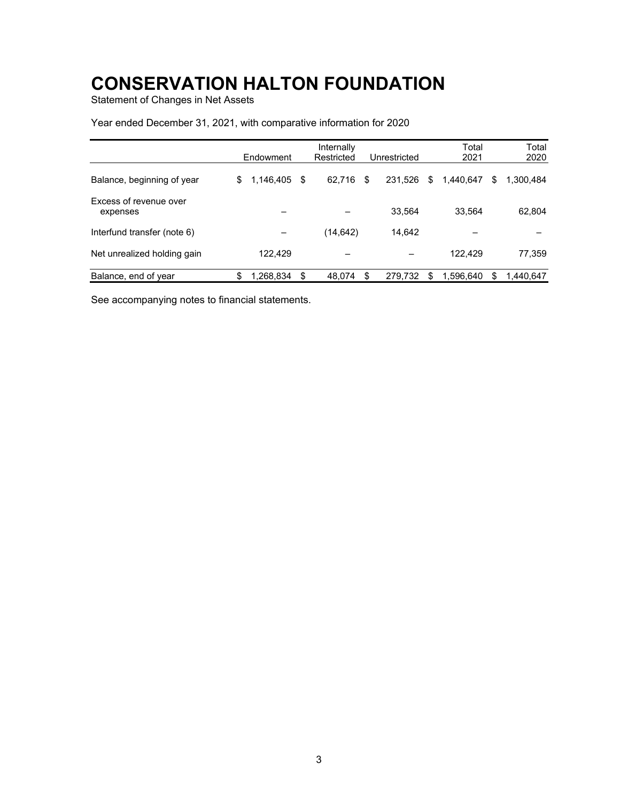Statement of Changes in Net Assets

Year ended December 31, 2021, with comparative information for 2020

|                                    | Endowment       |      | Internally<br>Restricted | Unrestricted  |    | Total<br>2021 |     | Total<br>2020 |
|------------------------------------|-----------------|------|--------------------------|---------------|----|---------------|-----|---------------|
| Balance, beginning of year         | \$<br>1,146,405 | - \$ | 62.716                   | \$<br>231.526 | \$ | 1,440,647     | \$  | 1.300.484     |
| Excess of revenue over<br>expenses |                 |      |                          | 33.564        |    | 33.564        |     | 62,804        |
| Interfund transfer (note 6)        |                 |      | (14, 642)                | 14,642        |    |               |     |               |
| Net unrealized holding gain        | 122,429         |      |                          |               |    | 122.429       |     | 77,359        |
| Balance, end of year               | \$<br>1,268,834 |      | 48.074                   | 279,732       | S  | 1,596,640     | \$. | 1.440.647     |

See accompanying notes to financial statements.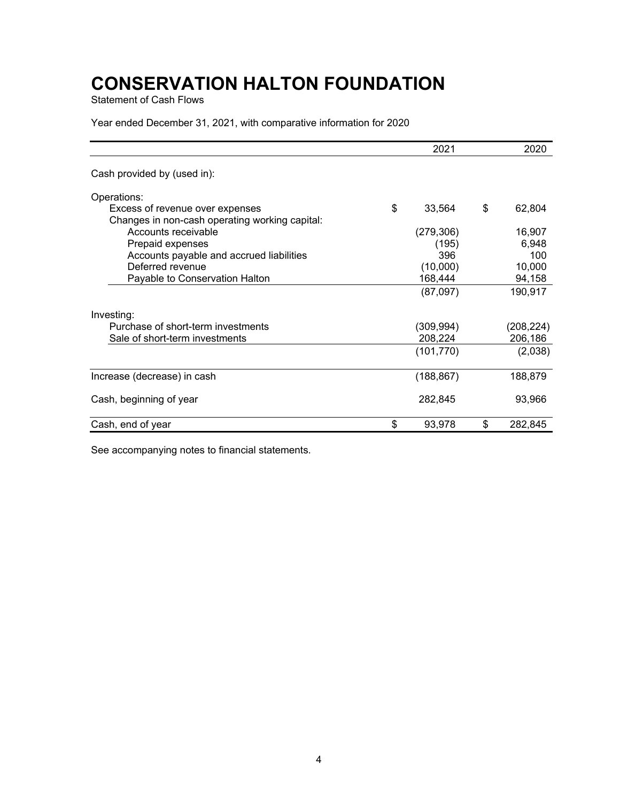Statement of Cash Flows

Year ended December 31, 2021, with comparative information for 2020

|                                                | 2021         | 2020          |
|------------------------------------------------|--------------|---------------|
| Cash provided by (used in):                    |              |               |
| Operations:                                    |              |               |
| Excess of revenue over expenses                | \$<br>33,564 | \$<br>62,804  |
| Changes in non-cash operating working capital: |              |               |
| Accounts receivable                            | (279, 306)   | 16,907        |
| Prepaid expenses                               | (195)        | 6,948         |
| Accounts payable and accrued liabilities       | 396          | 100           |
| Deferred revenue                               | (10,000)     | 10,000        |
| Payable to Conservation Halton                 | 168,444      | 94,158        |
|                                                | (87,097)     | 190,917       |
| Investing:                                     |              |               |
| Purchase of short-term investments             | (309, 994)   | (208,224)     |
| Sale of short-term investments                 | 208,224      | 206,186       |
|                                                | (101, 770)   | (2,038)       |
| Increase (decrease) in cash                    | (188, 867)   | 188,879       |
| Cash, beginning of year                        | 282,845      | 93,966        |
| Cash, end of year                              | \$<br>93,978 | \$<br>282,845 |

See accompanying notes to financial statements.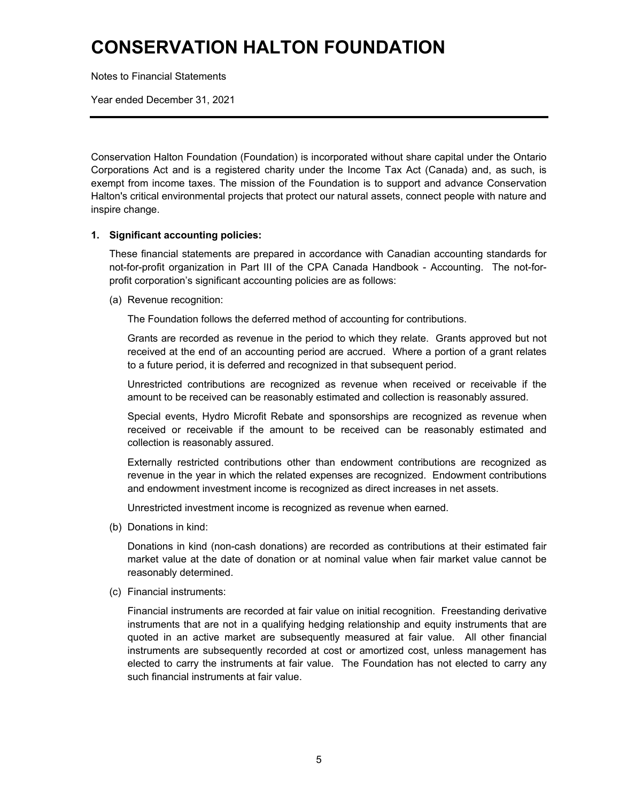Notes to Financial Statements

Year ended December 31, 2021

Conservation Halton Foundation (Foundation) is incorporated without share capital under the Ontario Corporations Act and is a registered charity under the Income Tax Act (Canada) and, as such, is exempt from income taxes. The mission of the Foundation is to support and advance Conservation Halton's critical environmental projects that protect our natural assets, connect people with nature and inspire change.

#### **1. Significant accounting policies:**

These financial statements are prepared in accordance with Canadian accounting standards for not-for-profit organization in Part III of the CPA Canada Handbook - Accounting. The not-forprofit corporation's significant accounting policies are as follows:

(a) Revenue recognition:

The Foundation follows the deferred method of accounting for contributions.

Grants are recorded as revenue in the period to which they relate. Grants approved but not received at the end of an accounting period are accrued. Where a portion of a grant relates to a future period, it is deferred and recognized in that subsequent period.

Unrestricted contributions are recognized as revenue when received or receivable if the amount to be received can be reasonably estimated and collection is reasonably assured.

Special events, Hydro Microfit Rebate and sponsorships are recognized as revenue when received or receivable if the amount to be received can be reasonably estimated and collection is reasonably assured.

Externally restricted contributions other than endowment contributions are recognized as revenue in the year in which the related expenses are recognized. Endowment contributions and endowment investment income is recognized as direct increases in net assets.

Unrestricted investment income is recognized as revenue when earned.

(b) Donations in kind:

Donations in kind (non-cash donations) are recorded as contributions at their estimated fair market value at the date of donation or at nominal value when fair market value cannot be reasonably determined.

(c) Financial instruments:

Financial instruments are recorded at fair value on initial recognition. Freestanding derivative instruments that are not in a qualifying hedging relationship and equity instruments that are quoted in an active market are subsequently measured at fair value. All other financial instruments are subsequently recorded at cost or amortized cost, unless management has elected to carry the instruments at fair value. The Foundation has not elected to carry any such financial instruments at fair value.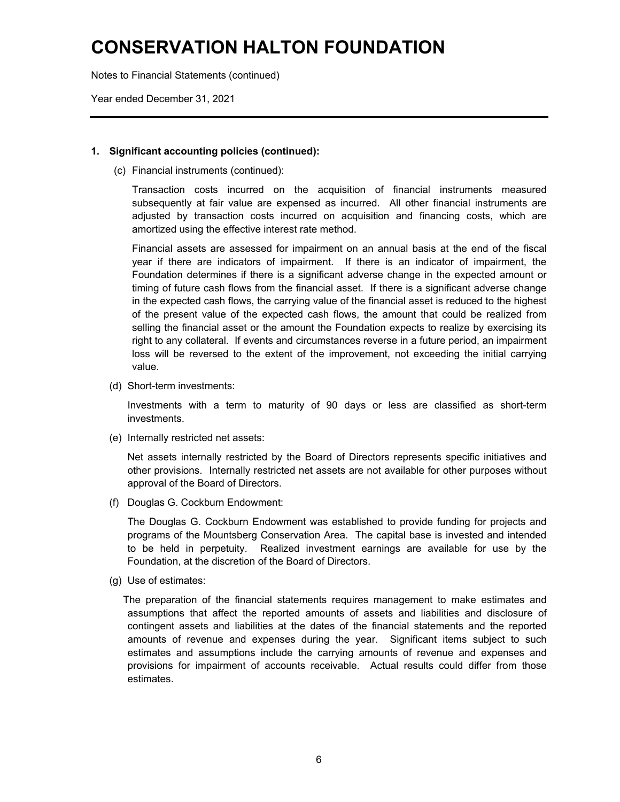Notes to Financial Statements (continued)

Year ended December 31, 2021

#### **1. Significant accounting policies (continued):**

(c) Financial instruments (continued):

Transaction costs incurred on the acquisition of financial instruments measured subsequently at fair value are expensed as incurred. All other financial instruments are adjusted by transaction costs incurred on acquisition and financing costs, which are amortized using the effective interest rate method.

Financial assets are assessed for impairment on an annual basis at the end of the fiscal year if there are indicators of impairment. If there is an indicator of impairment, the Foundation determines if there is a significant adverse change in the expected amount or timing of future cash flows from the financial asset. If there is a significant adverse change in the expected cash flows, the carrying value of the financial asset is reduced to the highest of the present value of the expected cash flows, the amount that could be realized from selling the financial asset or the amount the Foundation expects to realize by exercising its right to any collateral. If events and circumstances reverse in a future period, an impairment loss will be reversed to the extent of the improvement, not exceeding the initial carrying value.

(d) Short-term investments:

Investments with a term to maturity of 90 days or less are classified as short-term investments.

(e) Internally restricted net assets:

Net assets internally restricted by the Board of Directors represents specific initiatives and other provisions. Internally restricted net assets are not available for other purposes without approval of the Board of Directors.

(f) Douglas G. Cockburn Endowment:

The Douglas G. Cockburn Endowment was established to provide funding for projects and programs of the Mountsberg Conservation Area. The capital base is invested and intended to be held in perpetuity. Realized investment earnings are available for use by the Foundation, at the discretion of the Board of Directors.

(g) Use of estimates:

The preparation of the financial statements requires management to make estimates and assumptions that affect the reported amounts of assets and liabilities and disclosure of contingent assets and liabilities at the dates of the financial statements and the reported amounts of revenue and expenses during the year. Significant items subject to such estimates and assumptions include the carrying amounts of revenue and expenses and provisions for impairment of accounts receivable. Actual results could differ from those estimates.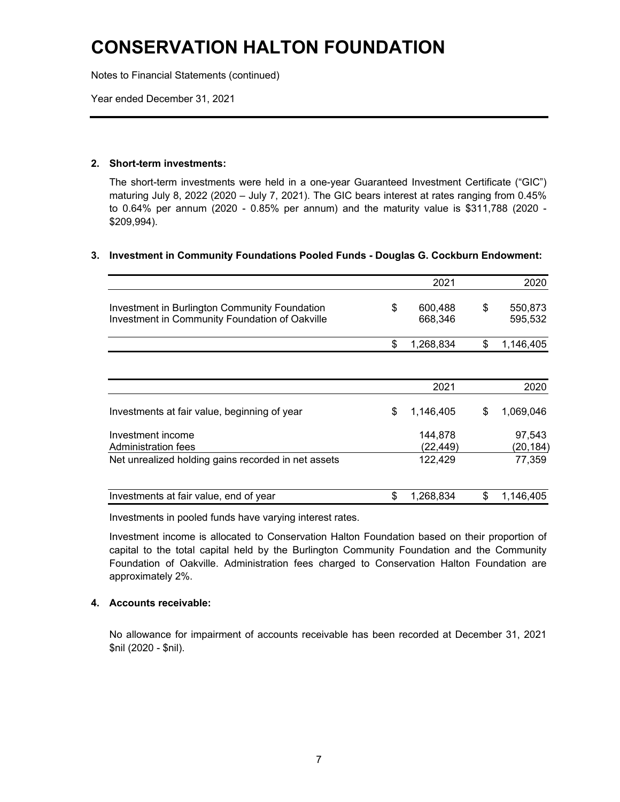Notes to Financial Statements (continued)

Year ended December 31, 2021

#### **2. Short-term investments:**

The short-term investments were held in a one-year Guaranteed Investment Certificate ("GIC") maturing July 8, 2022 (2020 – July 7, 2021). The GIC bears interest at rates ranging from 0.45% to 0.64% per annum (2020 - 0.85% per annum) and the maturity value is \$311,788 (2020 - \$209,994).

#### **3. Investment in Community Foundations Pooled Funds - Douglas G. Cockburn Endowment:**

|                                                                                                 | 2021                     | 2020                     |
|-------------------------------------------------------------------------------------------------|--------------------------|--------------------------|
| Investment in Burlington Community Foundation<br>Investment in Community Foundation of Oakville | \$<br>600,488<br>668,346 | \$<br>550,873<br>595,532 |
|                                                                                                 | \$<br>1,268,834          | \$<br>1,146,405          |
|                                                                                                 | 2021                     | 2020                     |
| Investments at fair value, beginning of year                                                    | \$<br>1,146,405          | \$<br>1,069,046          |
| Investment income<br>Administration fees                                                        | 144,878<br>(22,449)      | 97,543<br>(20, 184)      |
| Net unrealized holding gains recorded in net assets                                             | 122,429                  | 77,359                   |
| Investments at fair value, end of year                                                          | \$<br>1,268,834          | \$<br>1,146,405          |

Investments in pooled funds have varying interest rates.

Investment income is allocated to Conservation Halton Foundation based on their proportion of capital to the total capital held by the Burlington Community Foundation and the Community Foundation of Oakville. Administration fees charged to Conservation Halton Foundation are approximately 2%.

#### **4. Accounts receivable:**

No allowance for impairment of accounts receivable has been recorded at December 31, 2021 \$nil (2020 - \$nil).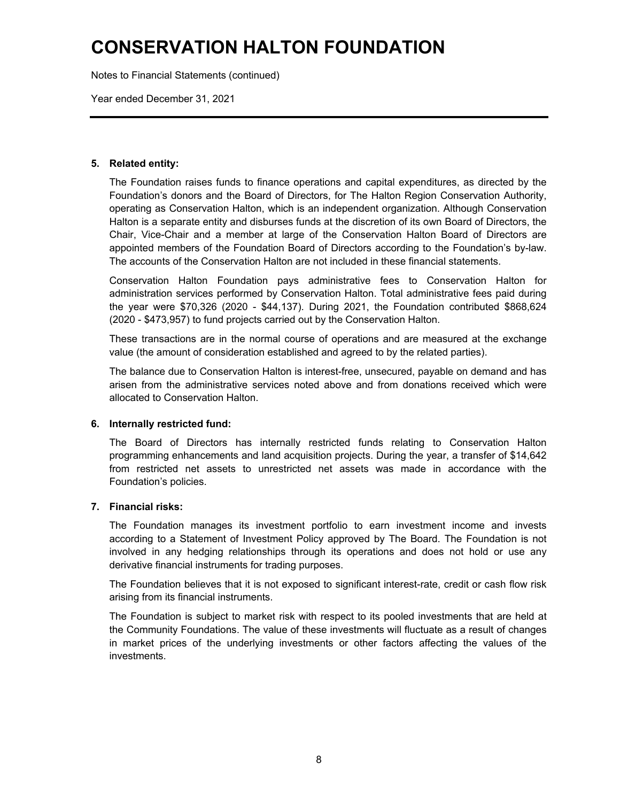Notes to Financial Statements (continued)

Year ended December 31, 2021

#### **5. Related entity:**

The Foundation raises funds to finance operations and capital expenditures, as directed by the Foundation's donors and the Board of Directors, for The Halton Region Conservation Authority, operating as Conservation Halton, which is an independent organization. Although Conservation Halton is a separate entity and disburses funds at the discretion of its own Board of Directors, the Chair, Vice-Chair and a member at large of the Conservation Halton Board of Directors are appointed members of the Foundation Board of Directors according to the Foundation's by-law. The accounts of the Conservation Halton are not included in these financial statements.

Conservation Halton Foundation pays administrative fees to Conservation Halton for administration services performed by Conservation Halton. Total administrative fees paid during the year were \$70,326 (2020 - \$44,137). During 2021, the Foundation contributed \$868,624 (2020 - \$473,957) to fund projects carried out by the Conservation Halton.

These transactions are in the normal course of operations and are measured at the exchange value (the amount of consideration established and agreed to by the related parties).

The balance due to Conservation Halton is interest-free, unsecured, payable on demand and has arisen from the administrative services noted above and from donations received which were allocated to Conservation Halton.

#### **6. Internally restricted fund:**

The Board of Directors has internally restricted funds relating to Conservation Halton programming enhancements and land acquisition projects. During the year, a transfer of \$14,642 from restricted net assets to unrestricted net assets was made in accordance with the Foundation's policies.

#### **7. Financial risks:**

The Foundation manages its investment portfolio to earn investment income and invests according to a Statement of Investment Policy approved by The Board. The Foundation is not involved in any hedging relationships through its operations and does not hold or use any derivative financial instruments for trading purposes.

The Foundation believes that it is not exposed to significant interest-rate, credit or cash flow risk arising from its financial instruments.

The Foundation is subject to market risk with respect to its pooled investments that are held at the Community Foundations. The value of these investments will fluctuate as a result of changes in market prices of the underlying investments or other factors affecting the values of the investments.